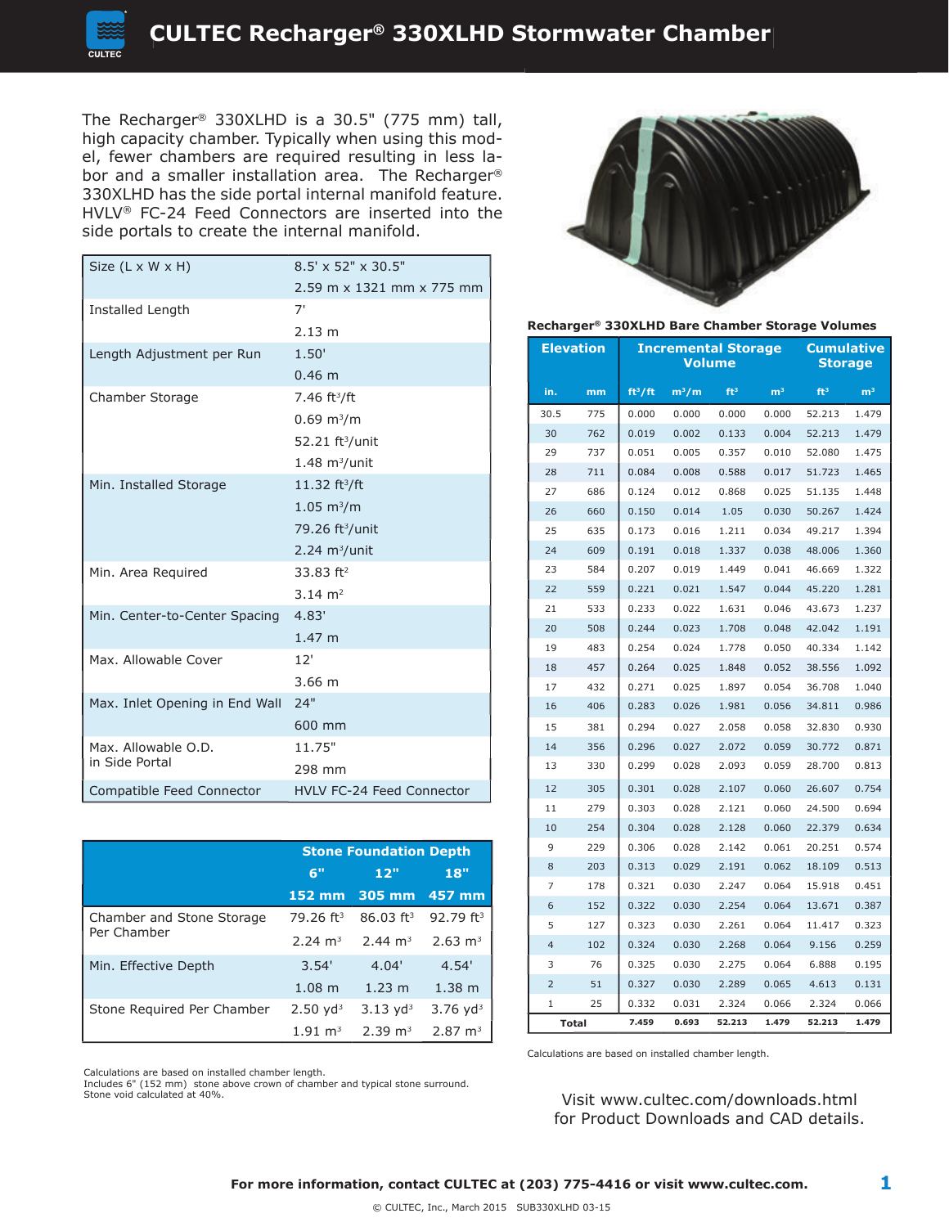high capacity chamber. Typically when using this model, fewer chambers are required resulting in less labor and a smaller installation area. The Recharger® 330XLHD has the side portal internal manifold feature. HVLV® FC-24 Feed Connectors are inserted into the side portals to create the internal manifold.

| Size (L x W x H)               | $8.5' \times 52'' \times 30.5''$  |  |  |  |
|--------------------------------|-----------------------------------|--|--|--|
|                                | 2.59 m x 1321 mm x 775 mm         |  |  |  |
| Installed Length               | 7'                                |  |  |  |
|                                | 2.13 m                            |  |  |  |
| Length Adjustment per Run      | 1.50'                             |  |  |  |
|                                | $0.46 \; m$                       |  |  |  |
| Chamber Storage                | 7.46 $ft^3/ft$                    |  |  |  |
|                                | $0.69 \text{ m}^3/\text{m}$       |  |  |  |
|                                | 52.21 ft <sup>3</sup> /unit       |  |  |  |
|                                | $1.48 \text{ m}^3/\text{unit}$    |  |  |  |
| Min. Installed Storage         | 11.32 ft <sup>3</sup> /ft         |  |  |  |
|                                | $1.05 \; \mathrm{m}^3/\mathrm{m}$ |  |  |  |
|                                | 79.26 ft <sup>3</sup> /unit       |  |  |  |
|                                | $2.24 \text{ m}^3/\text{unit}$    |  |  |  |
| Min. Area Required             | $33.83$ ft <sup>2</sup>           |  |  |  |
|                                | $3.14 \text{ m}^2$                |  |  |  |
| Min. Center-to-Center Spacing  | 4.83'                             |  |  |  |
|                                | 1.47 <sub>m</sub>                 |  |  |  |
| Max. Allowable Cover           | 12'                               |  |  |  |
|                                | $3.66 \; m$                       |  |  |  |
| Max. Inlet Opening in End Wall | 24"                               |  |  |  |
|                                | 600 mm                            |  |  |  |
| Max. Allowable O.D.            | 11.75"                            |  |  |  |
| in Side Portal                 | 298 mm                            |  |  |  |
| Compatible Feed Connector      | <b>HVLV FC-24 Feed Connector</b>  |  |  |  |

|                            | <b>Stone Foundation Depth</b> |                         |                        |  |
|----------------------------|-------------------------------|-------------------------|------------------------|--|
|                            | 6"                            | 12"                     | 18"                    |  |
|                            | $152 \text{ mm}$              | 305 mm                  | $-457$ mm              |  |
| Chamber and Stone Storage  | $79.26$ ft <sup>3</sup>       | $86.03$ ft <sup>3</sup> | 92.79 ft <sup>3</sup>  |  |
| Per Chamber                | $2.24 \text{ m}^3$            | $2.44 \text{ m}^3$      | $2.63 \text{ m}^3$     |  |
| Min. Effective Depth       | 3.54'                         | 4.04'                   | 4.54'                  |  |
|                            | $1.08$ m                      | $1.23 \; m$             | 1.38 m                 |  |
| Stone Required Per Chamber | $2.50 \text{ yd}^3$           | $3.13 \text{ yd}^3$     | $3.76$ yd <sup>3</sup> |  |
|                            | $1.91 \text{ m}^3$            | $2.39 \text{ m}^3$      | $2.87 \text{ m}^3$     |  |

Calculations are based on installed chamber length.

Includes 6" (152 mm) stone above crown of chamber and typical stone surround. Stone void calculated at 40%.



#### **Recharger 330XLHD Bare Chamber Storage Volumes**

| <b>Elevation</b> |     | <b>Incremental Storage</b><br>Volume |                           |                 | <b>Cumulative</b><br>Storage |                 |                |
|------------------|-----|--------------------------------------|---------------------------|-----------------|------------------------------|-----------------|----------------|
| in.              | mm  | ft <sup>3</sup> /ft                  | $\mathsf{m}^3/\mathsf{m}$ | ft <sup>3</sup> | m <sup>3</sup>               | ft <sup>3</sup> | m <sup>3</sup> |
| 30.5             | 775 | 0.000                                | 0.000                     | 0.000           | 0.000                        | 52.213          | 1.479          |
| 30               | 762 | 0.019                                | 0.002                     | 0.133           | 0.004                        | 52.213          | 1.479          |
| 29               | 737 | 0.051                                | 0.005                     | 0.357           | 0.010                        | 52.080          | 1.475          |
| 28               | 711 | 0.084                                | 0.008                     | 0.588           | 0.017                        | 51.723          | 1.465          |
| 27               | 686 | 0.124                                | 0.012                     | 0.868           | 0.025                        | 51.135          | 1.448          |
| 26               | 660 | 0.150                                | 0.014                     | 1.05            | 0.030                        | 50.267          | 1.424          |
| 25               | 635 | 0.173                                | 0.016                     | 1.211           | 0.034                        | 49.217          | 1.394          |
| 24               | 609 | 0.191                                | 0.018                     | 1.337           | 0.038                        | 48.006          | 1.360          |
| 23               | 584 | 0.207                                | 0.019                     | 1.449           | 0.041                        | 46.669          | 1.322          |
| 22               | 559 | 0.221                                | 0.021                     | 1.547           | 0.044                        | 45.220          | 1.281          |
| 21               | 533 | 0.233                                | 0.022                     | 1.631           | 0.046                        | 43.673          | 1.237          |
| 20               | 508 | 0.244                                | 0.023                     | 1.708           | 0.048                        | 42.042          | 1.191          |
| 19               | 483 | 0.254                                | 0.024                     | 1.778           | 0.050                        | 40.334          | 1.142          |
| 18               | 457 | 0.264                                | 0.025                     | 1.848           | 0.052                        | 38.556          | 1.092          |
| 17               | 432 | 0.271                                | 0.025                     | 1.897           | 0.054                        | 36.708          | 1.040          |
| 16               | 406 | 0.283                                | 0.026                     | 1.981           | 0.056                        | 34.811          | 0.986          |
| 15               | 381 | 0.294                                | 0.027                     | 2.058           | 0.058                        | 32.830          | 0.930          |
| 14               | 356 | 0.296                                | 0.027                     | 2.072           | 0.059                        | 30.772          | 0.871          |
| 13               | 330 | 0.299                                | 0.028                     | 2.093           | 0.059                        | 28.700          | 0.813          |
| 12               | 305 | 0.301                                | 0.028                     | 2.107           | 0.060                        | 26.607          | 0.754          |
| 11               | 279 | 0.303                                | 0.028                     | 2.121           | 0.060                        | 24.500          | 0.694          |
| 10               | 254 | 0.304                                | 0.028                     | 2.128           | 0.060                        | 22.379          | 0.634          |
| 9                | 229 | 0.306                                | 0.028                     | 2.142           | 0.061                        | 20.251          | 0.574          |
| 8                | 203 | 0.313                                | 0.029                     | 2.191           | 0.062                        | 18.109          | 0.513          |
| 7                | 178 | 0.321                                | 0.030                     | 2.247           | 0.064                        | 15.918          | 0.451          |
| 6                | 152 | 0.322                                | 0.030                     | 2.254           | 0.064                        | 13.671          | 0.387          |
| 5                | 127 | 0.323                                | 0.030                     | 2.261           | 0.064                        | 11.417          | 0.323          |
| $\overline{4}$   | 102 | 0.324                                | 0.030                     | 2.268           | 0.064                        | 9.156           | 0.259          |
| 3                | 76  | 0.325                                | 0.030                     | 2.275           | 0.064                        | 6.888           | 0.195          |
| $\overline{2}$   | 51  | 0.327                                | 0.030                     | 2.289           | 0.065                        | 4.613           | 0.131          |
| 1                | 25  | 0.332                                | 0.031                     | 2.324           | 0.066                        | 2.324           | 0.066          |
| <b>Total</b>     |     | 7.459                                | 0.693                     | 52.213          | 1.479                        | 52.213          | 1.479          |

Calculations are based on installed chamber length.

Visit www.cultec.com/downloads.html for Product Downloads and CAD details.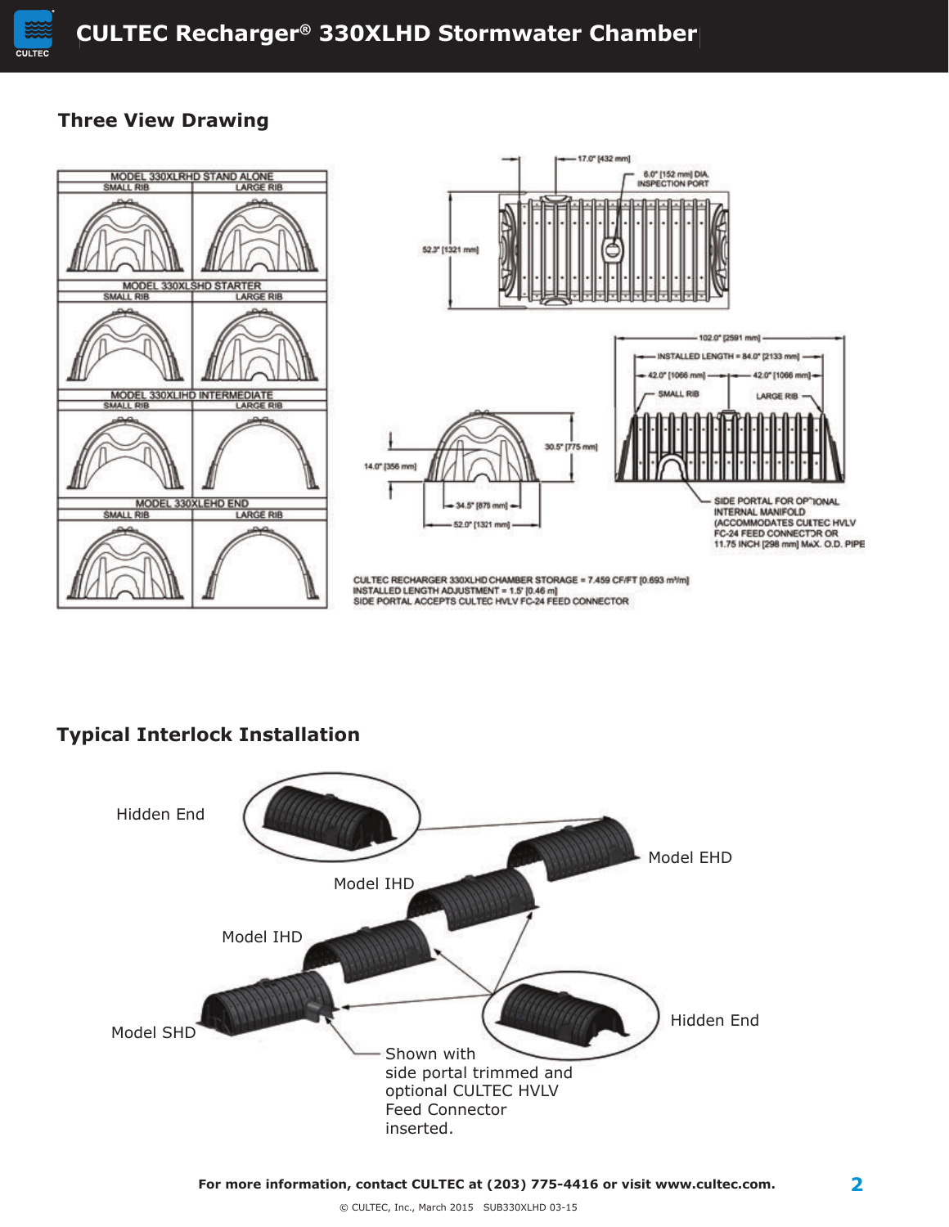

### **Three View Drawing**



## **Typical Interlock Installation**

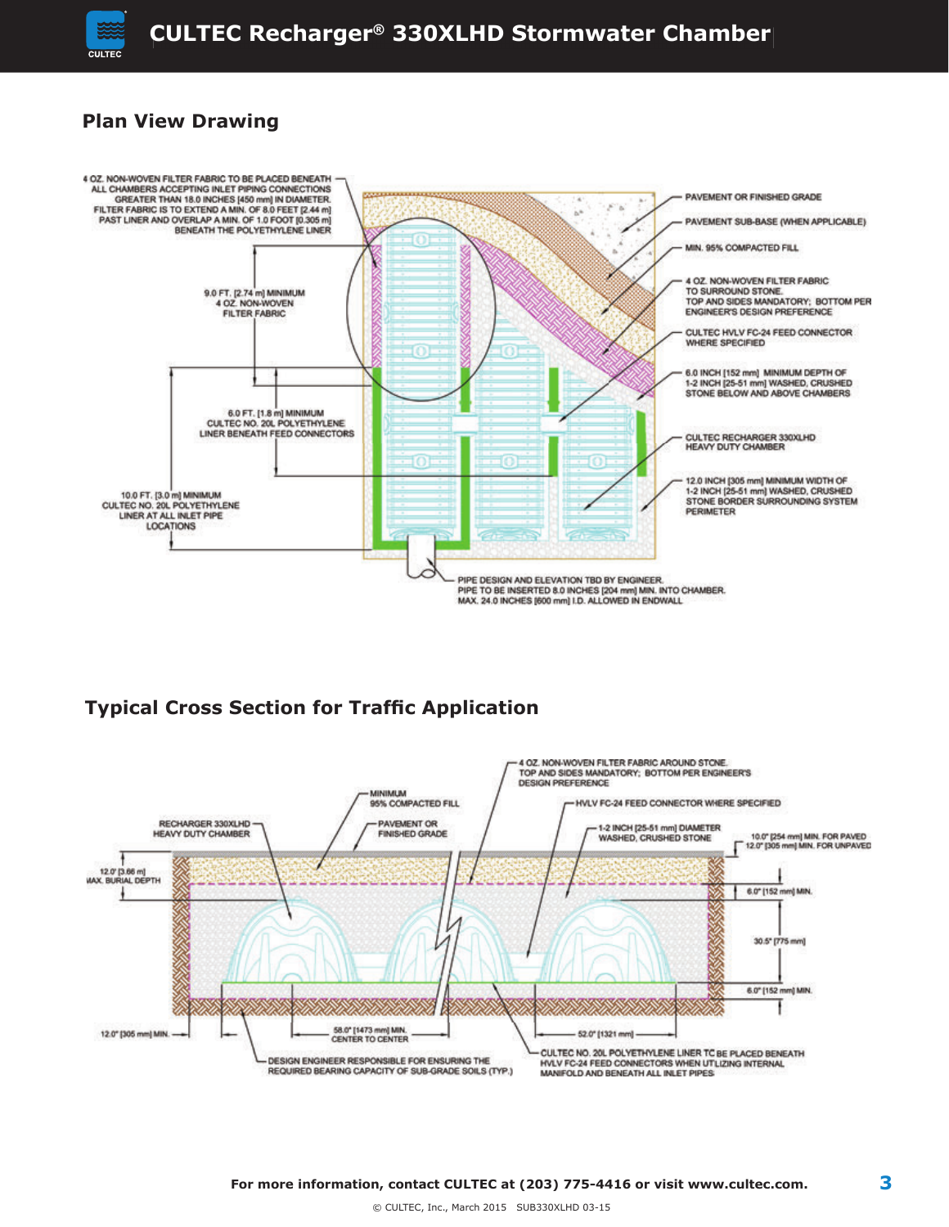

## **Plan View Drawing**



## **Typical Cross Section for Traffic Application**